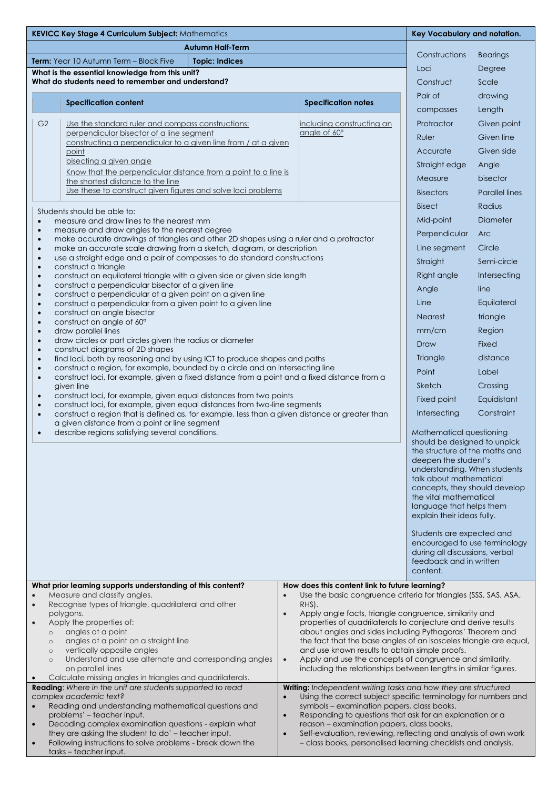| <b>Autumn Half-Term</b><br>Constructions<br><b>Term:</b> Year 10 Autumn Term – Block Five<br><b>Topic: Indices</b><br>Loci<br>What is the essential knowledge from this unit?<br>What do students need to remember and understand?<br>Construct<br>Pair of<br><b>Specification content</b><br><b>Specification notes</b><br>compasses<br>G <sub>2</sub><br>Use the standard ruler and compass constructions:<br>including constructing an<br>Protractor<br>angle of 60°<br>perpendicular bisector of a line segment<br>Ruler<br>constructing a perpendicular to a given line from / at a given<br>Accurate<br>point<br>bisecting a given angle<br>Straight edge<br>Know that the perpendicular distance from a point to a line is<br>Measure<br>the shortest distance to the line<br>Use these to construct given figures and solve loci problems<br><b>Bisectors</b><br><b>Bisect</b><br>Students should be able to:<br>Mid-point<br>measure and draw lines to the nearest mm | <b>Bearings</b><br>Degree<br>Scale<br>drawing<br>Length<br>Given point<br>Given line<br>Given side<br>Angle<br>bisector<br><b>Parallel lines</b><br>Radius<br>Diameter<br>Arc<br>Circle |  |
|--------------------------------------------------------------------------------------------------------------------------------------------------------------------------------------------------------------------------------------------------------------------------------------------------------------------------------------------------------------------------------------------------------------------------------------------------------------------------------------------------------------------------------------------------------------------------------------------------------------------------------------------------------------------------------------------------------------------------------------------------------------------------------------------------------------------------------------------------------------------------------------------------------------------------------------------------------------------------------|-----------------------------------------------------------------------------------------------------------------------------------------------------------------------------------------|--|
|                                                                                                                                                                                                                                                                                                                                                                                                                                                                                                                                                                                                                                                                                                                                                                                                                                                                                                                                                                                |                                                                                                                                                                                         |  |
|                                                                                                                                                                                                                                                                                                                                                                                                                                                                                                                                                                                                                                                                                                                                                                                                                                                                                                                                                                                |                                                                                                                                                                                         |  |
|                                                                                                                                                                                                                                                                                                                                                                                                                                                                                                                                                                                                                                                                                                                                                                                                                                                                                                                                                                                |                                                                                                                                                                                         |  |
|                                                                                                                                                                                                                                                                                                                                                                                                                                                                                                                                                                                                                                                                                                                                                                                                                                                                                                                                                                                |                                                                                                                                                                                         |  |
|                                                                                                                                                                                                                                                                                                                                                                                                                                                                                                                                                                                                                                                                                                                                                                                                                                                                                                                                                                                |                                                                                                                                                                                         |  |
|                                                                                                                                                                                                                                                                                                                                                                                                                                                                                                                                                                                                                                                                                                                                                                                                                                                                                                                                                                                |                                                                                                                                                                                         |  |
|                                                                                                                                                                                                                                                                                                                                                                                                                                                                                                                                                                                                                                                                                                                                                                                                                                                                                                                                                                                |                                                                                                                                                                                         |  |
|                                                                                                                                                                                                                                                                                                                                                                                                                                                                                                                                                                                                                                                                                                                                                                                                                                                                                                                                                                                |                                                                                                                                                                                         |  |
|                                                                                                                                                                                                                                                                                                                                                                                                                                                                                                                                                                                                                                                                                                                                                                                                                                                                                                                                                                                |                                                                                                                                                                                         |  |
|                                                                                                                                                                                                                                                                                                                                                                                                                                                                                                                                                                                                                                                                                                                                                                                                                                                                                                                                                                                |                                                                                                                                                                                         |  |
|                                                                                                                                                                                                                                                                                                                                                                                                                                                                                                                                                                                                                                                                                                                                                                                                                                                                                                                                                                                |                                                                                                                                                                                         |  |
|                                                                                                                                                                                                                                                                                                                                                                                                                                                                                                                                                                                                                                                                                                                                                                                                                                                                                                                                                                                |                                                                                                                                                                                         |  |
|                                                                                                                                                                                                                                                                                                                                                                                                                                                                                                                                                                                                                                                                                                                                                                                                                                                                                                                                                                                |                                                                                                                                                                                         |  |
| $\bullet$                                                                                                                                                                                                                                                                                                                                                                                                                                                                                                                                                                                                                                                                                                                                                                                                                                                                                                                                                                      |                                                                                                                                                                                         |  |
| measure and draw angles to the nearest degree<br>$\bullet$<br>Perpendicular<br>make accurate drawings of triangles and other 2D shapes using a ruler and a protractor<br>$\bullet$                                                                                                                                                                                                                                                                                                                                                                                                                                                                                                                                                                                                                                                                                                                                                                                             |                                                                                                                                                                                         |  |
| Line segment<br>make an accurate scale drawing from a sketch, diagram, or description<br>$\bullet$<br>use a straight edge and a pair of compasses to do standard constructions                                                                                                                                                                                                                                                                                                                                                                                                                                                                                                                                                                                                                                                                                                                                                                                                 |                                                                                                                                                                                         |  |
| $\bullet$<br>Straight<br>construct a triangle<br>$\bullet$                                                                                                                                                                                                                                                                                                                                                                                                                                                                                                                                                                                                                                                                                                                                                                                                                                                                                                                     | Semi-circle                                                                                                                                                                             |  |
| Right angle<br>construct an equilateral triangle with a given side or given side length<br>$\bullet$                                                                                                                                                                                                                                                                                                                                                                                                                                                                                                                                                                                                                                                                                                                                                                                                                                                                           | Intersecting                                                                                                                                                                            |  |
| construct a perpendicular bisector of a given line<br>$\bullet$<br>Angle<br>construct a perpendicular at a given point on a given line<br>$\bullet$                                                                                                                                                                                                                                                                                                                                                                                                                                                                                                                                                                                                                                                                                                                                                                                                                            | line                                                                                                                                                                                    |  |
| Line<br>construct a perpendicular from a given point to a given line<br>$\bullet$                                                                                                                                                                                                                                                                                                                                                                                                                                                                                                                                                                                                                                                                                                                                                                                                                                                                                              | Equilateral                                                                                                                                                                             |  |
| construct an angle bisector<br>$\bullet$<br><b>Nearest</b><br>construct an angle of 60°<br>$\bullet$                                                                                                                                                                                                                                                                                                                                                                                                                                                                                                                                                                                                                                                                                                                                                                                                                                                                           | triangle                                                                                                                                                                                |  |
| mm/cm<br>draw parallel lines<br>$\bullet$<br>draw circles or part circles given the radius or diameter                                                                                                                                                                                                                                                                                                                                                                                                                                                                                                                                                                                                                                                                                                                                                                                                                                                                         | Region                                                                                                                                                                                  |  |
| $\bullet$<br>Draw<br>construct diagrams of 2D shapes<br>$\bullet$                                                                                                                                                                                                                                                                                                                                                                                                                                                                                                                                                                                                                                                                                                                                                                                                                                                                                                              | Fixed                                                                                                                                                                                   |  |
| Triangle<br>find loci, both by reasoning and by using ICT to produce shapes and paths<br>$\bullet$<br>construct a region, for example, bounded by a circle and an intersecting line<br>$\bullet$                                                                                                                                                                                                                                                                                                                                                                                                                                                                                                                                                                                                                                                                                                                                                                               | distance                                                                                                                                                                                |  |
| Point<br>construct loci, for example, given a fixed distance from a point and a fixed distance from a<br>$\bullet$                                                                                                                                                                                                                                                                                                                                                                                                                                                                                                                                                                                                                                                                                                                                                                                                                                                             | Label                                                                                                                                                                                   |  |
| Sketch<br>aiven line                                                                                                                                                                                                                                                                                                                                                                                                                                                                                                                                                                                                                                                                                                                                                                                                                                                                                                                                                           | Crossing                                                                                                                                                                                |  |
| construct loci, for example, given equal distances from two points<br>$\bullet$<br>Fixed point<br>construct loci, for example, given equal distances from two-line segments<br>$\bullet$                                                                                                                                                                                                                                                                                                                                                                                                                                                                                                                                                                                                                                                                                                                                                                                       | Equidistant                                                                                                                                                                             |  |
| Intersecting<br>construct a region that is defined as, for example, less than a given distance or greater than<br>$\bullet$<br>a given distance from a point or line segment                                                                                                                                                                                                                                                                                                                                                                                                                                                                                                                                                                                                                                                                                                                                                                                                   | Constraint                                                                                                                                                                              |  |
| describe regions satisfying several conditions.<br>Mathematical questioning<br>$\bullet$<br>should be designed to unpick<br>the structure of the maths and<br>deepen the student's<br>understanding. When students<br>talk about mathematical<br>the vital mathematical<br>language that helps them                                                                                                                                                                                                                                                                                                                                                                                                                                                                                                                                                                                                                                                                            | concepts, they should develop                                                                                                                                                           |  |
| explain their ideas fully.<br>Students are expected and<br>during all discussions, verbal<br>feedback and in written                                                                                                                                                                                                                                                                                                                                                                                                                                                                                                                                                                                                                                                                                                                                                                                                                                                           | encouraged to use terminology                                                                                                                                                           |  |
| content.                                                                                                                                                                                                                                                                                                                                                                                                                                                                                                                                                                                                                                                                                                                                                                                                                                                                                                                                                                       |                                                                                                                                                                                         |  |
| What prior learning supports understanding of this content?<br>How does this content link to future learning?<br>Measure and classify angles.<br>Use the basic congruence criteria for triangles (SSS, SAS, ASA,                                                                                                                                                                                                                                                                                                                                                                                                                                                                                                                                                                                                                                                                                                                                                               |                                                                                                                                                                                         |  |
| Recognise types of triangle, quadrilateral and other<br>RHS).<br>$\bullet$<br>polygons.                                                                                                                                                                                                                                                                                                                                                                                                                                                                                                                                                                                                                                                                                                                                                                                                                                                                                        |                                                                                                                                                                                         |  |
| Apply the properties of:                                                                                                                                                                                                                                                                                                                                                                                                                                                                                                                                                                                                                                                                                                                                                                                                                                                                                                                                                       | Apply angle facts, triangle congruence, similarity and<br>properties of quadrilaterals to conjecture and derive results                                                                 |  |
| about angles and sides including Pythagoras' Theorem and<br>angles at a point<br>$\circ$<br>angles at a point on a straight line<br>the fact that the base angles of an isosceles triangle are equal,                                                                                                                                                                                                                                                                                                                                                                                                                                                                                                                                                                                                                                                                                                                                                                          |                                                                                                                                                                                         |  |
| $\circ$<br>vertically opposite angles<br>and use known results to obtain simple proofs.<br>$\circ$                                                                                                                                                                                                                                                                                                                                                                                                                                                                                                                                                                                                                                                                                                                                                                                                                                                                             |                                                                                                                                                                                         |  |
| Understand and use alternate and corresponding angles<br>Apply and use the concepts of congruence and similarity,<br>$\bullet$<br>$\circ$<br>on parallel lines                                                                                                                                                                                                                                                                                                                                                                                                                                                                                                                                                                                                                                                                                                                                                                                                                 |                                                                                                                                                                                         |  |
| including the relationships between lengths in similar figures.<br>Calculate missing angles in triangles and quadrilaterals.                                                                                                                                                                                                                                                                                                                                                                                                                                                                                                                                                                                                                                                                                                                                                                                                                                                   |                                                                                                                                                                                         |  |
| Reading: Where in the unit are students supported to read<br>Writing: Independent writing tasks and how they are structured<br>complex academic text?<br>Using the correct subject specific terminology for numbers and                                                                                                                                                                                                                                                                                                                                                                                                                                                                                                                                                                                                                                                                                                                                                        |                                                                                                                                                                                         |  |
| Reading and understanding mathematical questions and<br>symbols - examination papers, class books.                                                                                                                                                                                                                                                                                                                                                                                                                                                                                                                                                                                                                                                                                                                                                                                                                                                                             |                                                                                                                                                                                         |  |
| problems' - teacher input.<br>Responding to questions that ask for an explanation or a<br>$\bullet$<br>Decoding complex examination questions - explain what<br>reason - examination papers, class books.<br>$\bullet$                                                                                                                                                                                                                                                                                                                                                                                                                                                                                                                                                                                                                                                                                                                                                         |                                                                                                                                                                                         |  |
| they are asking the student to do' - teacher input.<br>Self-evaluation, reviewing, reflecting and analysis of own work<br>$\bullet$<br>Following instructions to solve problems - break down the<br>- class books, personalised learning checklists and analysis.<br>tasks - teacher input.                                                                                                                                                                                                                                                                                                                                                                                                                                                                                                                                                                                                                                                                                    |                                                                                                                                                                                         |  |